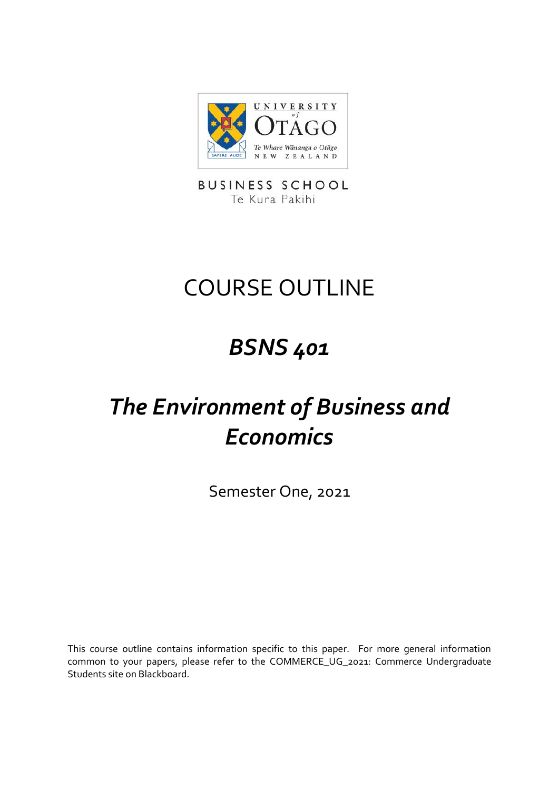

**BUSINESS SCHOOL** Te Kura Pakihi

# COURSE OUTLINE

## *BSNS 401*

# *The Environment of Business and Economics*

Semester One, 2021

This course outline contains information specific to this paper. For more general information common to your papers, please refer to the COMMERCE\_UG\_2021: Commerce Undergraduate Students site on Blackboard.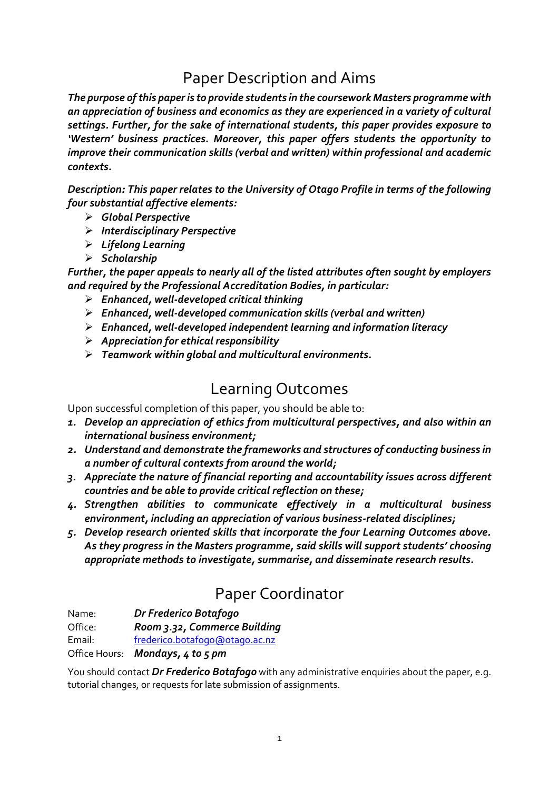### Paper Description and Aims

*The purpose of this paper is to provide students in the coursework Masters programme with an appreciation of business and economics as they are experienced in a variety of cultural settings. Further, for the sake of international students, this paper provides exposure to 'Western' business practices. Moreover, this paper offers students the opportunity to improve their communication skills (verbal and written) within professional and academic contexts.*

*Description: This paper relates to the University of Otago Profile in terms of the following four substantial affective elements:*

- ➢ *Global Perspective*
- ➢ *Interdisciplinary Perspective*
- ➢ *Lifelong Learning*
- ➢ *Scholarship*

*Further, the paper appeals to nearly all of the listed attributes often sought by employers and required by the Professional Accreditation Bodies, in particular:*

- ➢ *Enhanced, well-developed critical thinking*
- ➢ *Enhanced, well-developed communication skills (verbal and written)*
- ➢ *Enhanced, well-developed independent learning and information literacy*
- ➢ *Appreciation for ethical responsibility*
- ➢ *Teamwork within global and multicultural environments.*

#### Learning Outcomes

Upon successful completion of this paper, you should be able to:

- *1. Develop an appreciation of ethics from multicultural perspectives, and also within an international business environment;*
- *2. Understand and demonstrate the frameworks and structures of conducting business in a number of cultural contexts from around the world;*
- *3. Appreciate the nature of financial reporting and accountability issues across different countries and be able to provide critical reflection on these;*
- *4. Strengthen abilities to communicate effectively in a multicultural business environment, including an appreciation of various business-related disciplines;*
- *5. Develop research oriented skills that incorporate the four Learning Outcomes above. As they progress in the Masters programme, said skills will support students' choosing appropriate methods to investigate, summarise, and disseminate research results.*

## Paper Coordinator

Name: *Dr Frederico Botafogo*

Office: *Room 3.32, Commerce Building*

Email: [frederico.botafogo@otago.ac.nz](mailto:frederico.botafogo@otago.ac.nz)

Office Hours: *Mondays, 4 to 5 pm*

You should contact *Dr Frederico Botafogo* with any administrative enquiries about the paper, e.g. tutorial changes, or requests for late submission of assignments.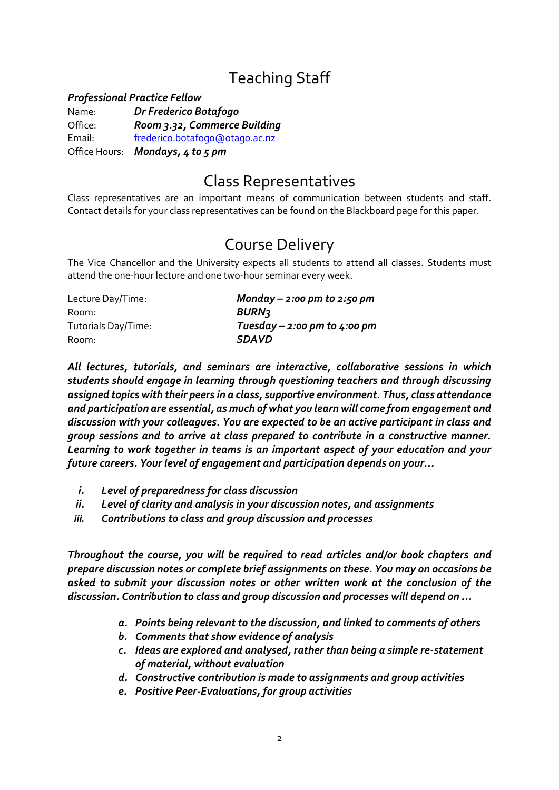## Teaching Staff

#### *Professional Practice Fellow*

Name: *Dr Frederico Botafogo* Office: *Room 3.32, Commerce Building* Email: [frederico.botafogo@otago.ac.nz](mailto:frederico.botafogo@otago.ac.nz) Office Hours: *Mondays, 4 to 5 pm*

#### Class Representatives

Class representatives are an important means of communication between students and staff. Contact details for your class representatives can be found on the Blackboard page for this paper.

#### Course Delivery

The Vice Chancellor and the University expects all students to attend all classes. Students must attend the one-hour lecture and one two-hour seminar every week.

| Lecture Day/Time:   | Monday – 2:00 pm to 2:50 pm  |
|---------------------|------------------------------|
| Room:               | <b>BURN3</b>                 |
| Tutorials Day/Time: | Tuesday – 2:00 pm to 4:00 pm |
| Room:               | <b>SDAVD</b>                 |

*All lectures, tutorials, and seminars are interactive, collaborative sessions in which students should engage in learning through questioning teachers and through discussing assigned topics with their peers in a class, supportive environment. Thus, class attendance and participation are essential, as much of what you learn will come from engagement and discussion with your colleagues. You are expected to be an active participant in class and group sessions and to arrive at class prepared to contribute in a constructive manner. Learning to work together in teams is an important aspect of your education and your future careers. Your level of engagement and participation depends on your…*

- *i. Level of preparedness for class discussion*
- *ii. Level of clarity and analysis in your discussion notes, and assignments*
- *iii. Contributions to class and group discussion and processes*

*Throughout the course, you will be required to read articles and/or book chapters and prepare discussion notes or complete brief assignments on these. You may on occasions be asked to submit your discussion notes or other written work at the conclusion of the discussion. Contribution to class and group discussion and processes will depend on …*

- *a. Points being relevant to the discussion, and linked to comments of others*
- *b. Comments that show evidence of analysis*
- *c. Ideas are explored and analysed, rather than being a simple re-statement of material, without evaluation*
- *d. Constructive contribution is made to assignments and group activities*
- *e. Positive Peer-Evaluations, for group activities*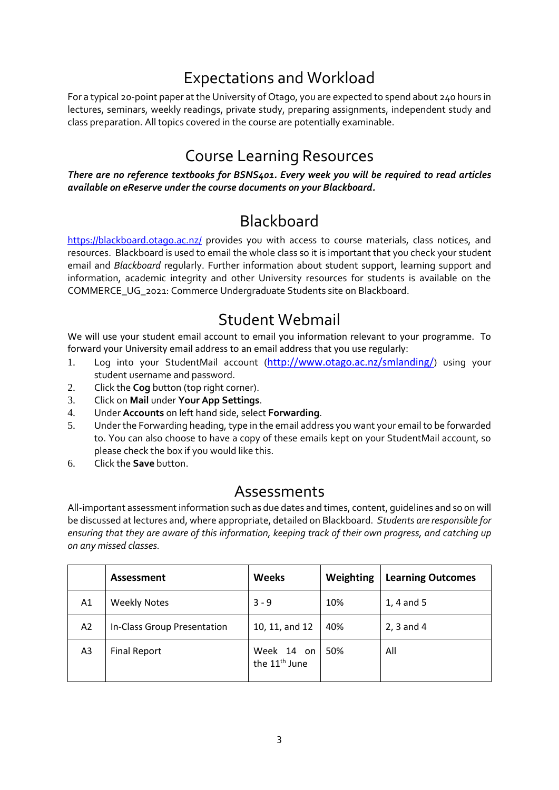### Expectations and Workload

For a typical 20-point paper at the University of Otago, you are expected to spend about 240 hours in lectures, seminars, weekly readings, private study, preparing assignments, independent study and class preparation. All topics covered in the course are potentially examinable.

### Course Learning Resources

*There are no reference textbooks for BSNS401. Every week you will be required to read articles available on eReserve under the course documents on your Blackboard.*

#### **Blackboard**

<https://blackboard.otago.ac.nz/> provides you with access to course materials, class notices, and resources. Blackboard is used to email the whole class so it is important that you check your student email and *Blackboard* regularly. Further information about student support, learning support and information, academic integrity and other University resources for students is available on the COMMERCE\_UG\_2021: Commerce Undergraduate Students site on Blackboard.

#### Student Webmail

We will use your student email account to email you information relevant to your programme. To forward your University email address to an email address that you use regularly:

- 1. Log into your StudentMail account (<http://www.otago.ac.nz/smlanding/>) using your student username and password.
- 2. Click the **Cog** button (top right corner).
- 3. Click on **Mail** under **Your App Settings**.
- 4. Under **Accounts** on left hand side, select **Forwarding**.
- 5. Under the Forwarding heading, type in the email address you want your email to be forwarded to. You can also choose to have a copy of these emails kept on your StudentMail account, so please check the box if you would like this.
- 6. Click the **Save** button.

#### Assessments

All-important assessment information such as due dates and times, content, guidelines and so on will be discussed at lectures and, where appropriate, detailed on Blackboard. *Students are responsible for ensuring that they are aware of this information, keeping track of their own progress, and catching up on any missed classes.*

|    | <b>Assessment</b>           | <b>Weeks</b>                            | Weighting | <b>Learning Outcomes</b> |
|----|-----------------------------|-----------------------------------------|-----------|--------------------------|
| A1 | <b>Weekly Notes</b>         | $3 - 9$                                 | 10%       | 1, 4 and 5               |
| A2 | In-Class Group Presentation | 10, 11, and 12                          | 40%       | $2, 3$ and 4             |
| A3 | <b>Final Report</b>         | Week 14 on<br>the 11 <sup>th</sup> June | 50%       | All                      |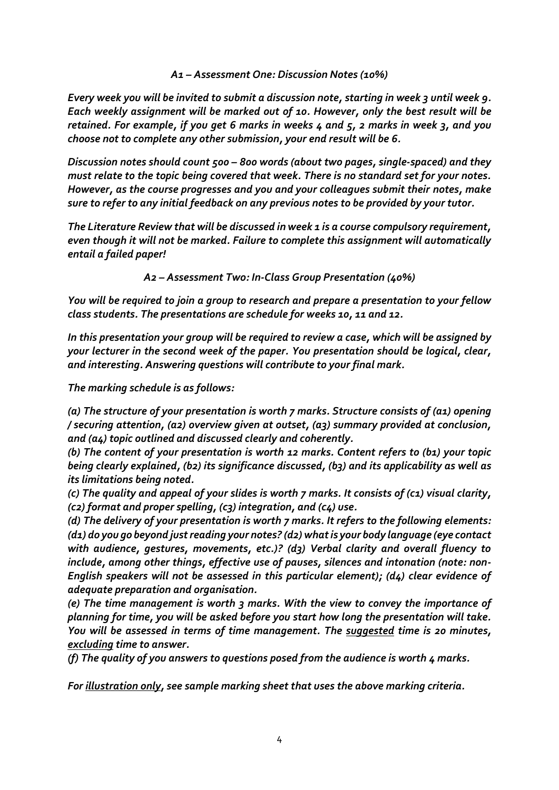*A1 – Assessment One: Discussion Notes (10%)*

*Every week you will be invited to submit a discussion note, starting in week 3 until week 9. Each weekly assignment will be marked out of 10. However, only the best result will be retained. For example, if you get 6 marks in weeks 4 and 5, 2 marks in week 3, and you choose not to complete any other submission, your end result will be 6.*

*Discussion notes should count 500 – 800 words (about two pages, single-spaced) and they must relate to the topic being covered that week. There is no standard set for your notes. However, as the course progresses and you and your colleagues submit their notes, make sure to refer to any initial feedback on any previous notes to be provided by your tutor.*

*The Literature Review that will be discussed in week 1 is a course compulsory requirement, even though it will not be marked. Failure to complete this assignment will automatically entail a failed paper!*

*A2 – Assessment Two: In-Class Group Presentation (40%)*

*You will be required to join a group to research and prepare a presentation to your fellow class students. The presentations are schedule for weeks 10, 11 and 12.*

*In this presentation your group will be required to review a case, which will be assigned by your lecturer in the second week of the paper. You presentation should be logical, clear, and interesting. Answering questions will contribute to your final mark.*

*The marking schedule is as follows:*

*(a) The structure of your presentation is worth 7 marks. Structure consists of (a1) opening / securing attention, (a2) overview given at outset, (a3) summary provided at conclusion, and (a4) topic outlined and discussed clearly and coherently.*

*(b) The content of your presentation is worth 12 marks. Content refers to (b1) your topic being clearly explained, (b2) its significance discussed, (b3) and its applicability as well as its limitations being noted.*

*(c) The quality and appeal of your slides is worth 7 marks. It consists of (c1) visual clarity, (c2) format and proper spelling, (c3) integration, and (c4) use.*

*(d) The delivery of your presentation is worth 7 marks. It refers to the following elements: (d1) do you go beyond just reading your notes? (d2) what is your body language (eye contact with audience, gestures, movements, etc.)? (d3) Verbal clarity and overall fluency to include, among other things, effective use of pauses, silences and intonation (note: non-English speakers will not be assessed in this particular element); (d4) clear evidence of adequate preparation and organisation.*

*(e) The time management is worth 3 marks. With the view to convey the importance of planning for time, you will be asked before you start how long the presentation will take. You will be assessed in terms of time management. The suggested time is 20 minutes, excluding time to answer.*

*(f) The quality of you answers to questions posed from the audience is worth 4 marks.*

*For illustration only, see sample marking sheet that uses the above marking criteria.*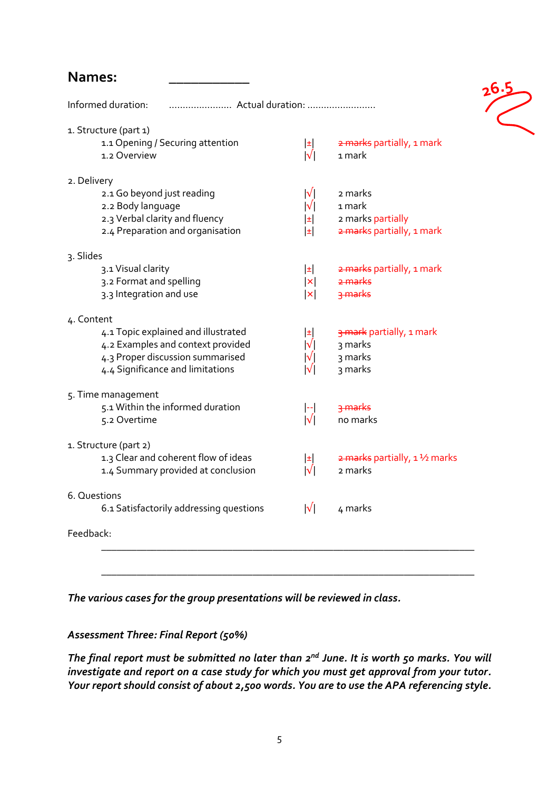#### **Names: \_\_\_\_\_\_\_\_\_\_\_**

| Informed duration:<br>Actual duration:           |                      |                                            |  |  |  |
|--------------------------------------------------|----------------------|--------------------------------------------|--|--|--|
| 1. Structure (part 1)                            |                      |                                            |  |  |  |
| 1.1 Opening / Securing attention<br>1.2 Overview | $\pm$<br>$ \sqrt{ }$ | 2 marks partially, 1 mark<br>1 mark        |  |  |  |
| 2. Delivery                                      |                      |                                            |  |  |  |
| 2.1 Go beyond just reading                       | $ \sqrt{} $          | 2 marks                                    |  |  |  |
| 2.2 Body language                                | $ \sqrt{} $          | 1 mark                                     |  |  |  |
| 2.3 Verbal clarity and fluency                   | E                    | 2 marks partially                          |  |  |  |
| 2.4 Preparation and organisation                 | E                    | 2 marks partially, 1 mark                  |  |  |  |
| 3. Slides                                        |                      |                                            |  |  |  |
| 3.1 Visual clarity                               | $\pm$                | 2 marks partially, 1 mark                  |  |  |  |
| 3.2 Format and spelling                          | $\vert x \vert$      | <del>2 marks</del>                         |  |  |  |
| 3.3 Integration and use                          | $\vert \times \vert$ | 3 marks                                    |  |  |  |
| 4. Content                                       |                      |                                            |  |  |  |
| 4.1 Topic explained and illustrated              | 国                    | 3 mark partially, 1 mark                   |  |  |  |
| 4.2 Examples and context provided                | $ \sqrt{} $          | 3 marks                                    |  |  |  |
| 4.3 Proper discussion summarised                 | $ \mathsf{V} $       | 3 marks                                    |  |  |  |
| 4.4 Significance and limitations                 | $ \sqrt{} $          | 3 marks                                    |  |  |  |
| 5. Time management                               |                      |                                            |  |  |  |
| 5.1 Within the informed duration                 | l--l                 | 3 marks                                    |  |  |  |
| 5.2 Overtime                                     | $ \sqrt{} $          | no marks                                   |  |  |  |
| 1. Structure (part 2)                            |                      |                                            |  |  |  |
| 1.3 Clear and coherent flow of ideas             | $\pm$                | $\frac{1}{2}$ marks partially, 1 1/2 marks |  |  |  |
| 1.4 Summary provided at conclusion               | $ \sqrt{} $          | 2 marks                                    |  |  |  |
| 6. Questions                                     |                      |                                            |  |  |  |
| 6.1 Satisfactorily addressing questions          | $ \sqrt{} $          | 4 marks                                    |  |  |  |
| Feedback:                                        |                      |                                            |  |  |  |
|                                                  |                      |                                            |  |  |  |

 $\frac{26.5}{2}$ 

*The various cases for the group presentations will be reviewed in class.*

#### *Assessment Three: Final Report (50%)*

The final report must be submitted no later than 2<sup>nd</sup> June. It is worth 50 marks. You will *investigate and report on a case study for which you must get approval from your tutor. Your report should consist of about 2,500 words. You are to use the APA referencing style.*

\_\_\_\_\_\_\_\_\_\_\_\_\_\_\_\_\_\_\_\_\_\_\_\_\_\_\_\_\_\_\_\_\_\_\_\_\_\_\_\_\_\_\_\_\_\_\_\_\_\_\_\_\_\_\_\_\_\_\_\_\_\_\_\_\_\_\_\_\_\_\_\_\_\_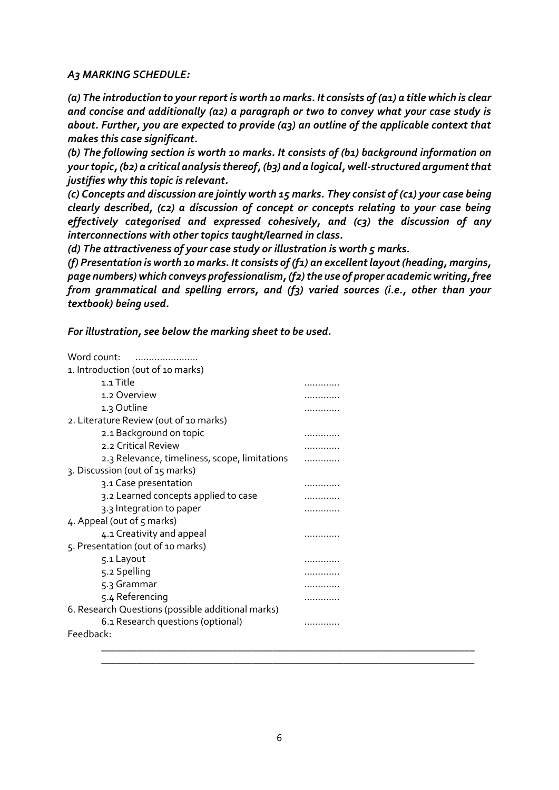#### *A3 MARKING SCHEDULE:*

*(a) The introduction to your report is worth 10 marks. It consists of (a1) a title which is clear and concise and additionally (a2) a paragraph or two to convey what your case study is about. Further, you are expected to provide (a3) an outline of the applicable context that makes this case significant.*

*(b) The following section is worth 10 marks. It consists of (b1) background information on your topic, (b2) a critical analysis thereof, (b3) and a logical, well-structured argument that justifies why this topic is relevant.*

*(c) Concepts and discussion are jointly worth 15 marks. They consist of (c1) your case being clearly described, (c2) a discussion of concept or concepts relating to your case being effectively categorised and expressed cohesively, and (c3) the discussion of any interconnections with other topics taught/learned in class.* 

*(d) The attractiveness of your case study or illustration is worth 5 marks.*

*(f) Presentation is worth 10 marks. It consists of (f1) an excellent layout (heading, margins, page numbers) which conveys professionalism, (f2) the use of proper academic writing, free from grammatical and spelling errors, and (f3) varied sources (i.e., other than your textbook) being used.*

*For illustration, see below the marking sheet to be used.*

| Word count:                                       |   |
|---------------------------------------------------|---|
| 1. Introduction (out of 10 marks)                 |   |
| 1.1 Title                                         |   |
| 1.2 Overview                                      |   |
| 1.3 Outline                                       |   |
| 2. Literature Review (out of 10 marks)            |   |
| 2.1 Background on topic                           |   |
| 2.2 Critical Review                               |   |
| 2.3 Relevance, timeliness, scope, limitations     |   |
| 3. Discussion (out of 15 marks)                   |   |
| 3.1 Case presentation                             |   |
| 3.2 Learned concepts applied to case              |   |
| 3.3 Integration to paper                          |   |
| 4. Appeal (out of 5 marks)                        |   |
| 4.1 Creativity and appeal                         |   |
| 5. Presentation (out of 10 marks)                 |   |
| 5.1 Layout                                        | . |
| 5.2 Spelling                                      |   |
| 5.3 Grammar                                       |   |
| 5.4 Referencing                                   |   |
| 6. Research Questions (possible additional marks) |   |
| 6.1 Research questions (optional)                 |   |
| Feedback:                                         |   |
|                                                   |   |

\_\_\_\_\_\_\_\_\_\_\_\_\_\_\_\_\_\_\_\_\_\_\_\_\_\_\_\_\_\_\_\_\_\_\_\_\_\_\_\_\_\_\_\_\_\_\_\_\_\_\_\_\_\_\_\_\_\_\_\_\_\_\_\_\_\_\_\_\_\_\_\_\_\_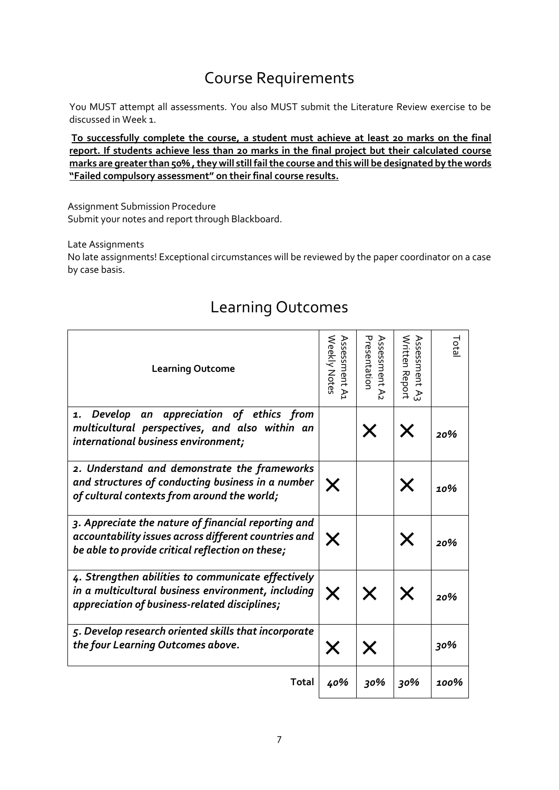### Course Requirements

You MUST attempt all assessments. You also MUST submit the Literature Review exercise to be discussed in Week 1.

**To successfully complete the course, a student must achieve at least 20 marks on the final report. If students achieve less than 20 marks in the final project but their calculated course**  marks are greater than 50%, they will still fail the course and this will be designated by the words **"Failed compulsory assessment" on their final course results.**

Assignment Submission Procedure Submit your notes and report through Blackboard.

Late Assignments

No late assignments! Exceptional circumstances will be reviewed by the paper coordinator on a case by case basis.

| <b>Learning Outcome</b>                                                                                                                                         | Weekly Notes<br>Assessment A1 | Presentation<br>Assessment A2 | Written Report<br>Assessment<br>٩J | Total |
|-----------------------------------------------------------------------------------------------------------------------------------------------------------------|-------------------------------|-------------------------------|------------------------------------|-------|
| Develop an appreciation of ethics from<br>1.<br>multicultural perspectives, and also within an<br>international business environment;                           |                               |                               |                                    | 20%   |
| 2. Understand and demonstrate the frameworks<br>and structures of conducting business in a number<br>of cultural contexts from around the world;                | X                             |                               | Х                                  | 10%   |
| 3. Appreciate the nature of financial reporting and<br>accountability issues across different countries and<br>be able to provide critical reflection on these; | Х                             |                               |                                    | 20%   |
| 4. Strengthen abilities to communicate effectively<br>in a multicultural business environment, including<br>appreciation of business-related disciplines;       | X                             | X                             |                                    | 20%   |
| 5. Develop research oriented skills that incorporate<br>the four Learning Outcomes above.                                                                       |                               |                               |                                    | 30%   |
| Total                                                                                                                                                           | 40%                           | 30%                           | 30%                                | 100%  |

### Learning Outcomes